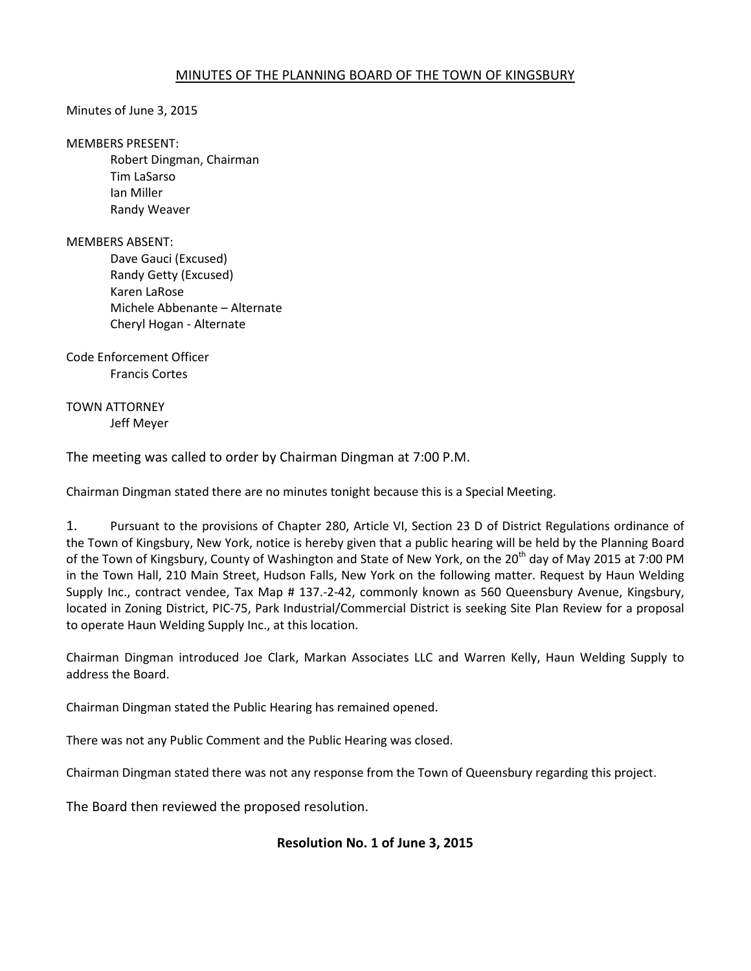## MINUTES OF THE PLANNING BOARD OF THE TOWN OF KINGSBURY

Minutes of June 3, 2015

MEMBERS PRESENT:

 Robert Dingman, Chairman Tim LaSarso Ian Miller Randy Weaver

MEMBERS ABSENT:

Dave Gauci (Excused) Randy Getty (Excused) Karen LaRose Michele Abbenante – Alternate Cheryl Hogan - Alternate

Code Enforcement Officer Francis Cortes

TOWN ATTORNEY Jeff Meyer

The meeting was called to order by Chairman Dingman at 7:00 P.M.

Chairman Dingman stated there are no minutes tonight because this is a Special Meeting.

1. Pursuant to the provisions of Chapter 280, Article VI, Section 23 D of District Regulations ordinance of the Town of Kingsbury, New York, notice is hereby given that a public hearing will be held by the Planning Board of the Town of Kingsbury, County of Washington and State of New York, on the 20<sup>th</sup> day of May 2015 at 7:00 PM in the Town Hall, 210 Main Street, Hudson Falls, New York on the following matter. Request by Haun Welding Supply Inc., contract vendee, Tax Map # 137.-2-42, commonly known as 560 Queensbury Avenue, Kingsbury, located in Zoning District, PIC-75, Park Industrial/Commercial District is seeking Site Plan Review for a proposal to operate Haun Welding Supply Inc., at this location.

Chairman Dingman introduced Joe Clark, Markan Associates LLC and Warren Kelly, Haun Welding Supply to address the Board.

Chairman Dingman stated the Public Hearing has remained opened.

There was not any Public Comment and the Public Hearing was closed.

Chairman Dingman stated there was not any response from the Town of Queensbury regarding this project.

The Board then reviewed the proposed resolution.

## **Resolution No. 1 of June 3, 2015**